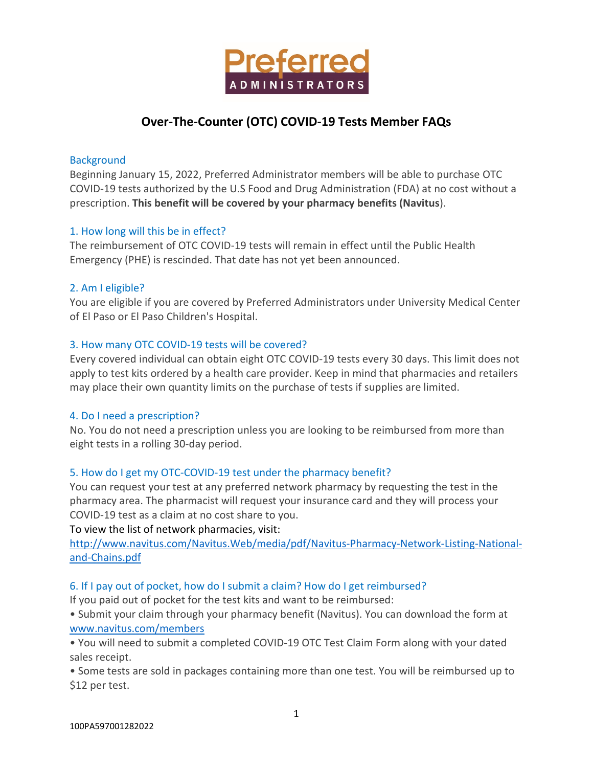

# **Over-The-Counter (OTC) COVID-19 Tests Member FAQs**

#### **Background**

Beginning January 15, 2022, Preferred Administrator members will be able to purchase OTC COVID-19 tests authorized by the U.S Food and Drug Administration (FDA) at no cost without a prescription. **This benefit will be covered by your pharmacy benefits (Navitus**).

# 1. How long will this be in effect?

The reimbursement of OTC COVID-19 tests will remain in effect until the Public Health Emergency (PHE) is rescinded. That date has not yet been announced.

#### 2. Am I eligible?

You are eligible if you are covered by Preferred Administrators under University Medical Center of El Paso or El Paso Children's Hospital.

#### 3. How many OTC COVID-19 tests will be covered?

Every covered individual can obtain eight OTC COVID-19 tests every 30 days. This limit does not apply to test kits ordered by a health care provider. Keep in mind that pharmacies and retailers may place their own quantity limits on the purchase of tests if supplies are limited.

# 4. Do I need a prescription?

No. You do not need a prescription unless you are looking to be reimbursed from more than eight tests in a rolling 30-day period.

# 5. How do I get my OTC-COVID-19 test under the pharmacy benefit?

You can request your test at any preferred network pharmacy by requesting the test in the pharmacy area. The pharmacist will request your insurance card and they will process your COVID-19 test as a claim at no cost share to you.

#### To view the list of network pharmacies, visit:

[http://www.navitus.com/Navitus.Web/media/pdf/Navitus-Pharmacy-Network-Listing-National](http://www.navitus.com/Navitus.Web/media/pdf/Navitus-Pharmacy-Network-Listing-National-and-Chains.pdf)[and-Chains.pdf](http://www.navitus.com/Navitus.Web/media/pdf/Navitus-Pharmacy-Network-Listing-National-and-Chains.pdf)

# 6. If I pay out of pocket, how do I submit a claim? How do I get reimbursed?

If you paid out of pocket for the test kits and want to be reimbursed:

• Submit your claim through your pharmacy benefit (Navitus). You can download the form at [www.navitus.com/members](http://www.navitus.com/members)

• You will need to submit a completed COVID-19 OTC Test Claim Form along with your dated sales receipt.

• Some tests are sold in packages containing more than one test. You will be reimbursed up to \$12 per test.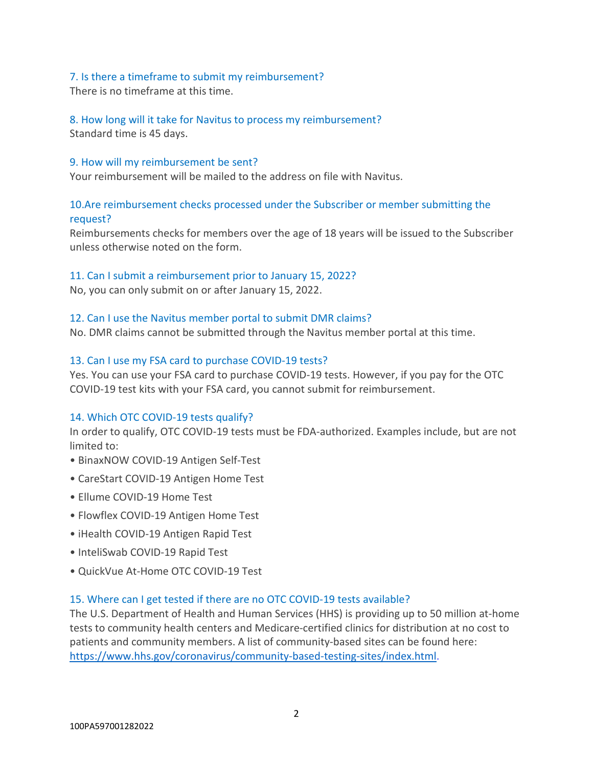#### 7. Is there a timeframe to submit my reimbursement?

There is no timeframe at this time.

8. How long will it take for Navitus to process my reimbursement? Standard time is 45 days.

#### 9. How will my reimbursement be sent?

Your reimbursement will be mailed to the address on file with Navitus.

# 10.Are reimbursement checks processed under the Subscriber or member submitting the request?

Reimbursements checks for members over the age of 18 years will be issued to the Subscriber unless otherwise noted on the form.

#### 11. Can I submit a reimbursement prior to January 15, 2022?

No, you can only submit on or after January 15, 2022.

#### 12. Can I use the Navitus member portal to submit DMR claims?

No. DMR claims cannot be submitted through the Navitus member portal at this time.

#### 13. Can I use my FSA card to purchase COVID-19 tests?

Yes. You can use your FSA card to purchase COVID-19 tests. However, if you pay for the OTC COVID-19 test kits with your FSA card, you cannot submit for reimbursement.

# 14. Which OTC COVID-19 tests qualify?

In order to qualify, OTC COVID-19 tests must be FDA-authorized. Examples include, but are not limited to:

- BinaxNOW COVID-19 Antigen Self-Test
- CareStart COVID-19 Antigen Home Test
- Ellume COVID-19 Home Test
- Flowflex COVID-19 Antigen Home Test
- iHealth COVID-19 Antigen Rapid Test
- InteliSwab COVID-19 Rapid Test
- QuickVue At-Home OTC COVID-19 Test

#### 15. Where can I get tested if there are no OTC COVID-19 tests available?

The U.S. Department of Health and Human Services (HHS) is providing up to 50 million at-home tests to community health centers and Medicare-certified clinics for distribution at no cost to patients and community members. A list of community-based sites can be found here: [https://www.hhs.gov/coronavirus/community-based-testing-sites/index.html.](https://www.hhs.gov/coronavirus/community-based-testing-sites/index.html)